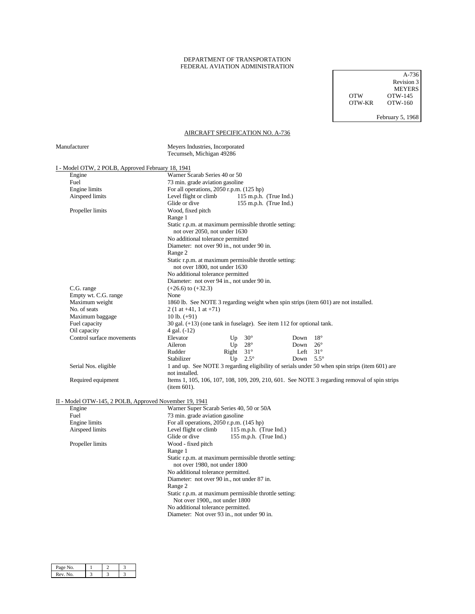## DEPARTMENT OF TRANSPORTATION FEDERAL AVIATION ADMINISTRATION

 A-736 Revision 3 MEYERS OTW OTW-145 OTW-KR OTW-160

February 5, 1968

## AIRCRAFT SPECIFICATION NO. A-736

| Manufacturer                                                                                                                                           | Meyers Industries, Incorporated<br>Tecumseh, Michigan 49286                                                      |  |  |                                    |  |  |
|--------------------------------------------------------------------------------------------------------------------------------------------------------|------------------------------------------------------------------------------------------------------------------|--|--|------------------------------------|--|--|
| I - Model OTW, 2 POLB, Approved February 18, 1941                                                                                                      |                                                                                                                  |  |  |                                    |  |  |
| Engine                                                                                                                                                 | Warner Scarab Series 40 or 50                                                                                    |  |  |                                    |  |  |
| Fuel                                                                                                                                                   | 73 min. grade aviation gasoline                                                                                  |  |  |                                    |  |  |
| Engine limits                                                                                                                                          | For all operations, $2050$ r.p.m. $(125$ hp)                                                                     |  |  |                                    |  |  |
| Airspeed limits                                                                                                                                        | $115$ m.p.h. (True Ind.)<br>Level flight or climb                                                                |  |  |                                    |  |  |
|                                                                                                                                                        | Glide or dive<br>$155$ m.p.h. (True Ind.)                                                                        |  |  |                                    |  |  |
| Propeller limits                                                                                                                                       | Wood, fixed pitch<br>Range 1                                                                                     |  |  |                                    |  |  |
|                                                                                                                                                        |                                                                                                                  |  |  |                                    |  |  |
| Static r.p.m. at maximum permissible throttle setting:                                                                                                 |                                                                                                                  |  |  |                                    |  |  |
|                                                                                                                                                        | not over 2050, not under 1630<br>No additional tolerance permitted                                               |  |  |                                    |  |  |
|                                                                                                                                                        |                                                                                                                  |  |  |                                    |  |  |
|                                                                                                                                                        | Diameter: not over 90 in., not under 90 in.                                                                      |  |  |                                    |  |  |
|                                                                                                                                                        | Range 2                                                                                                          |  |  |                                    |  |  |
|                                                                                                                                                        | Static r.p.m. at maximum permissible throttle setting:<br>not over 1800, not under 1630                          |  |  |                                    |  |  |
|                                                                                                                                                        | No additional tolerance permitted                                                                                |  |  |                                    |  |  |
|                                                                                                                                                        | Diameter: not over 94 in., not under 90 in.                                                                      |  |  |                                    |  |  |
| C.G. range                                                                                                                                             | $(+26.6)$ to $(+32.3)$                                                                                           |  |  |                                    |  |  |
| Empty wt. C.G. range                                                                                                                                   | None                                                                                                             |  |  |                                    |  |  |
| Maximum weight                                                                                                                                         | 1860 lb. See NOTE 3 regarding weight when spin strips (item 601) are not installed.                              |  |  |                                    |  |  |
| No. of seats                                                                                                                                           | $2(1 \text{ at } +41, 1 \text{ at } +71)$                                                                        |  |  |                                    |  |  |
| Maximum baggage                                                                                                                                        | 10 lb. $(+91)$                                                                                                   |  |  |                                    |  |  |
| Fuel capacity                                                                                                                                          | 30 gal. $(+13)$ (one tank in fuselage). See item 112 for optional tank.                                          |  |  |                                    |  |  |
| Oil capacity                                                                                                                                           | 4 gal. (-12)                                                                                                     |  |  |                                    |  |  |
| Control surface movements                                                                                                                              | Elevator<br>Up $30^\circ$<br>Down<br>$18^{\circ}$                                                                |  |  |                                    |  |  |
|                                                                                                                                                        | Up $28^\circ$<br>Aileron<br>$26^{\circ}$<br>Down                                                                 |  |  |                                    |  |  |
|                                                                                                                                                        | Right $31^\circ$<br>Rudder<br>Left<br>$31^\circ$                                                                 |  |  |                                    |  |  |
|                                                                                                                                                        | Up $2.5^\circ$<br>Down $5.5^\circ$<br>Stabilizer                                                                 |  |  |                                    |  |  |
| Serial Nos. eligible                                                                                                                                   | 1 and up. See NOTE 3 regarding eligibility of serials under 50 when spin strips (item 601) are<br>not installed. |  |  |                                    |  |  |
| Required equipment                                                                                                                                     | Items 1, 105, 106, 107, 108, 109, 209, 210, 601. See NOTE 3 regarding removal of spin strips<br>item 601).       |  |  |                                    |  |  |
|                                                                                                                                                        |                                                                                                                  |  |  |                                    |  |  |
| II - Model OTW-145, 2 POLB, Approved November 19, 1941<br>Engine                                                                                       | Warner Super Scarab Series 40, 50 or 50A                                                                         |  |  |                                    |  |  |
| Fuel                                                                                                                                                   | 73 min. grade aviation gasoline                                                                                  |  |  |                                    |  |  |
| Engine limits                                                                                                                                          | For all operations, 2050 r.p.m. (145 hp)                                                                         |  |  |                                    |  |  |
| Airspeed limits                                                                                                                                        | Level flight or climb<br>115 m.p.h. (True Ind.)                                                                  |  |  |                                    |  |  |
|                                                                                                                                                        | Glide or dive<br>155 m.p.h. (True Ind.)                                                                          |  |  |                                    |  |  |
| Propeller limits                                                                                                                                       | Wood - fixed pitch                                                                                               |  |  |                                    |  |  |
|                                                                                                                                                        | Range 1                                                                                                          |  |  |                                    |  |  |
|                                                                                                                                                        | Static r.p.m. at maximum permissible throttle setting:                                                           |  |  |                                    |  |  |
|                                                                                                                                                        | not over 1980, not under 1800                                                                                    |  |  |                                    |  |  |
| No additional tolerance permitted.<br>Diameter: not over 90 in., not under 87 in.<br>Range 2<br>Static r.p.m. at maximum permissible throttle setting: |                                                                                                                  |  |  |                                    |  |  |
|                                                                                                                                                        |                                                                                                                  |  |  | Not over 1900,, not under 1800     |  |  |
|                                                                                                                                                        |                                                                                                                  |  |  | No additional tolerance permitted. |  |  |
|                                                                                                                                                        | Diameter: Not over 93 in., not under 90 in.                                                                      |  |  |                                    |  |  |
|                                                                                                                                                        |                                                                                                                  |  |  |                                    |  |  |
|                                                                                                                                                        |                                                                                                                  |  |  |                                    |  |  |
|                                                                                                                                                        |                                                                                                                  |  |  |                                    |  |  |

| Page No. |  |  |
|----------|--|--|
| Rev. No. |  |  |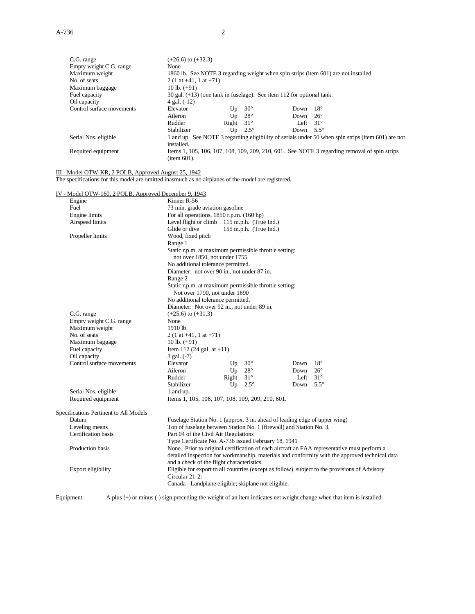| C.G. range<br>Empty weight C.G. range                                                               | $(+26.6)$ to $(+32.3)$<br>None                                                                              |                                                                         |                        |      |              |                                                                                                    |
|-----------------------------------------------------------------------------------------------------|-------------------------------------------------------------------------------------------------------------|-------------------------------------------------------------------------|------------------------|------|--------------|----------------------------------------------------------------------------------------------------|
| Maximum weight                                                                                      | 1860 lb. See NOTE 3 regarding weight when spin strips (item 601) are not installed.                         |                                                                         |                        |      |              |                                                                                                    |
| No. of seats                                                                                        | $2(1 \text{ at } +41, 1 \text{ at } +71)$                                                                   |                                                                         |                        |      |              |                                                                                                    |
| Maximum baggage                                                                                     | 10 lb. $(+91)$                                                                                              |                                                                         |                        |      |              |                                                                                                    |
| Fuel capacity                                                                                       |                                                                                                             |                                                                         |                        |      |              |                                                                                                    |
| Oil capacity                                                                                        | 4 gal. (-12)                                                                                                | 30 gal. $(+13)$ (one tank in fuselage). See item 112 for optional tank. |                        |      |              |                                                                                                    |
| Control surface movements                                                                           | Elevator                                                                                                    | Up                                                                      | $30^\circ$             | Down | $18^{\circ}$ |                                                                                                    |
|                                                                                                     | Aileron                                                                                                     | Up                                                                      | $28^{\circ}$           | Down | $26^{\circ}$ |                                                                                                    |
|                                                                                                     | Rudder                                                                                                      | Right                                                                   | $31^\circ$             | Left | $31^\circ$   |                                                                                                    |
|                                                                                                     | Stabilizer                                                                                                  | Up                                                                      | $2.5^\circ$            | Down | $5.5^\circ$  |                                                                                                    |
| Serial Nos. eligible                                                                                | installed.                                                                                                  |                                                                         |                        |      |              | 1 and up. See NOTE 3 regarding eligibility of serials under 50 when spin strips (item 601) are not |
| Required equipment                                                                                  | item 601).                                                                                                  |                                                                         |                        |      |              | Items 1, 105, 106, 107, 108, 109, 209, 210, 601. See NOTE 3 regarding removal of spin strips       |
| III - Model OTW-KR, 2 POLB, Approved August 25, 1942                                                |                                                                                                             |                                                                         |                        |      |              |                                                                                                    |
| The specifications for this model are omitted inasmuch as no airplanes of the model are registered. |                                                                                                             |                                                                         |                        |      |              |                                                                                                    |
|                                                                                                     |                                                                                                             |                                                                         |                        |      |              |                                                                                                    |
| IV - Model OTW-160, 2 POLB, Approved December 9, 1943                                               |                                                                                                             |                                                                         |                        |      |              |                                                                                                    |
| Engine                                                                                              | Kinner R-56                                                                                                 |                                                                         |                        |      |              |                                                                                                    |
| Fuel                                                                                                | 73 min. grade aviation gasoline                                                                             |                                                                         |                        |      |              |                                                                                                    |
| Engine limits                                                                                       | For all operations, 1850 r.p.m. (160 hp)                                                                    |                                                                         |                        |      |              |                                                                                                    |
| Airspeed limits                                                                                     | Level flight or climb 115 m.p.h. (True Ind.)                                                                |                                                                         |                        |      |              |                                                                                                    |
|                                                                                                     | Glide or dive                                                                                               |                                                                         | 155 m.p.h. (True Ind.) |      |              |                                                                                                    |
| Propeller limits                                                                                    | Wood, fixed pitch                                                                                           |                                                                         |                        |      |              |                                                                                                    |
|                                                                                                     | Range 1                                                                                                     |                                                                         |                        |      |              |                                                                                                    |
|                                                                                                     | Static r.p.m. at maximum permissible throttle setting:                                                      |                                                                         |                        |      |              |                                                                                                    |
|                                                                                                     | not over 1850, not under 1755                                                                               |                                                                         |                        |      |              |                                                                                                    |
|                                                                                                     | No additional tolerance permitted.                                                                          |                                                                         |                        |      |              |                                                                                                    |
|                                                                                                     | Diameter: not over 90 in., not under 87 in.                                                                 |                                                                         |                        |      |              |                                                                                                    |
|                                                                                                     | Range 2                                                                                                     |                                                                         |                        |      |              |                                                                                                    |
|                                                                                                     | Static r.p.m. at maximum permissible throttle setting:                                                      |                                                                         |                        |      |              |                                                                                                    |
|                                                                                                     | Not over 1790, not under 1690                                                                               |                                                                         |                        |      |              |                                                                                                    |
|                                                                                                     | No additional tolerance permitted.                                                                          |                                                                         |                        |      |              |                                                                                                    |
|                                                                                                     | Diameter: Not over 92 in., not under 89 in.                                                                 |                                                                         |                        |      |              |                                                                                                    |
| C.G. range                                                                                          | $(+25.6)$ to $(+31.3)$                                                                                      |                                                                         |                        |      |              |                                                                                                    |
| Empty weight C.G. range                                                                             | None                                                                                                        |                                                                         |                        |      |              |                                                                                                    |
| Maximum weight                                                                                      | 1910 lb.                                                                                                    |                                                                         |                        |      |              |                                                                                                    |
| No. of seats                                                                                        | $2(1 \text{ at } +41, 1 \text{ at } +71)$                                                                   |                                                                         |                        |      |              |                                                                                                    |
| Maximum baggage                                                                                     | 10 lb. $(+91)$                                                                                              |                                                                         |                        |      |              |                                                                                                    |
| Fuel capacity                                                                                       | Item 112 (24 gal. at $+11$ )                                                                                |                                                                         |                        |      |              |                                                                                                    |
| Oil capacity                                                                                        | 3 gal. (-7)                                                                                                 |                                                                         |                        |      |              |                                                                                                    |
| Control surface movements                                                                           | Elevator                                                                                                    | Up                                                                      | $30^{\circ}$           | Down | $18^{\circ}$ |                                                                                                    |
|                                                                                                     | Aileron                                                                                                     | Up                                                                      | $28^{\circ}$           | Down | $26^{\circ}$ |                                                                                                    |
|                                                                                                     | Rudder                                                                                                      | Right                                                                   | $31^\circ$             | Left | $31^\circ$   |                                                                                                    |
|                                                                                                     | Stabilizer                                                                                                  | $U_{\mathcal{D}}$                                                       | $2.5^{\circ}$          | Down | $5.5^\circ$  |                                                                                                    |
| Serial Nos. eligible                                                                                | 1 and up.                                                                                                   |                                                                         |                        |      |              |                                                                                                    |
| Required equipment                                                                                  | Items 1, 105, 106, 107, 108, 109, 209, 210, 601.                                                            |                                                                         |                        |      |              |                                                                                                    |
|                                                                                                     |                                                                                                             |                                                                         |                        |      |              |                                                                                                    |
| Specifications Pertinent to All Models                                                              |                                                                                                             |                                                                         |                        |      |              |                                                                                                    |
| Datum<br>Leveling means                                                                             | Fuselage Station No. 1 (approx. 3 in. ahead of leading edge of upper wing)                                  |                                                                         |                        |      |              |                                                                                                    |
| Certification basis                                                                                 | Top of fuselage between Station No. 1 (firewall) and Station No. 3.<br>Part 04 of the Civil Air Regulations |                                                                         |                        |      |              |                                                                                                    |
|                                                                                                     | Type Certificate No. A-736 issued February 18, 1941                                                         |                                                                         |                        |      |              |                                                                                                    |
| Production basis                                                                                    | None. Prior to original certification of each aircraft an FAA representative must perform a                 |                                                                         |                        |      |              |                                                                                                    |
|                                                                                                     |                                                                                                             |                                                                         |                        |      |              | detailed inspection for workmanship, materials and conformity with the approved technical data     |
|                                                                                                     | and a check of the flight characteristics.                                                                  |                                                                         |                        |      |              |                                                                                                    |
| Export eligibility                                                                                  | Eligible for export to all countries (except as follow) subject to the provisions of Advisory               |                                                                         |                        |      |              |                                                                                                    |
|                                                                                                     | Circular 21-2:                                                                                              |                                                                         |                        |      |              |                                                                                                    |
|                                                                                                     | Canada - Landplane eligible; skiplane not eligible.                                                         |                                                                         |                        |      |              |                                                                                                    |
|                                                                                                     |                                                                                                             |                                                                         |                        |      |              |                                                                                                    |

Equipment: A plus (+) or minus (-) sign preceding the weight of an item indicates net weight change when that item is installed.